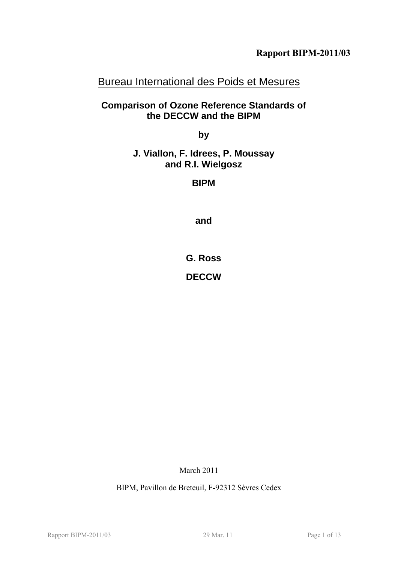# Bureau International des Poids et Mesures

## **Comparison of Ozone Reference Standards of the DECCW and the BIPM**

**by** 

**J. Viallon, F. Idrees, P. Moussay and R.I. Wielgosz** 

**BIPM** 

**and** 

**G. Ross** 

**DECCW** 

March 2011

BIPM, Pavillon de Breteuil, F-92312 Sèvres Cedex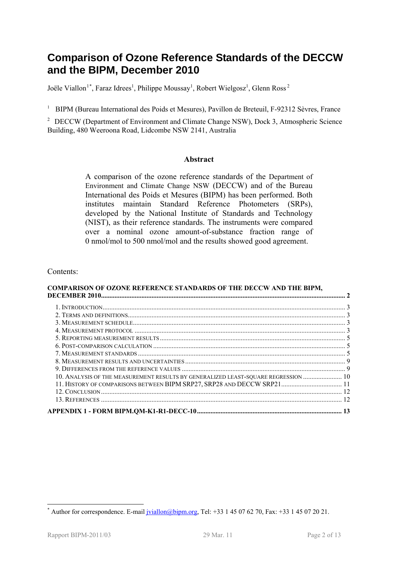# <span id="page-1-2"></span>**Comparison of Ozone Reference Standards of the DECCW and the BIPM, December 2010**

Joële Viallon<sup>[1](#page-1-0)\*</sup>, Faraz Idrees<sup>1</sup>, Philippe Moussay<sup>1</sup>, Robert Wielgosz<sup>1</sup>, Glenn Ross<sup>2</sup>

<sup>1</sup> BIPM (Bureau International des Poids et Mesures), Pavillon de Breteuil, F-92312 Sèvres, France

<span id="page-1-1"></span><sup>2</sup> [DECCW](#page-2-0) (Department of Environment and Climate Change NSW), Dock 3, Atmospheric Science Building, 480 Weeroona Road, Lidcombe NSW 2141, Australia

#### **Abstract**

A comparison of the ozone reference standards of the [Department of](#page-1-1)  [Environment and Climate Change NSW](#page-1-1) ([DECCW\)](#page-2-0) and of the Bureau International des Poids et Mesures (BIPM) has been performed. Both institutes maintain Standard Reference Photometers (SRPs), developed by the National Institute of Standards and Technology (NIST), as their reference standards. The instruments were compared over a nominal ozone amount-of-substance fraction range of 0 nmol/mol to 500 nmol/mol and the results showed good agreement.

#### Contents:

#### **[COMPARISON OF OZONE REFERENCE STANDARDS OF THE DECCW AND THE BIPM,](#page-1-2)  [DECEMBER 2010................................................................................................................................................. 2](#page-1-2)**

| 10. ANALYSIS OF THE MEASUREMENT RESULTS BY GENERALIZED LEAST-SQUARE REGRESSION  10 |  |
|------------------------------------------------------------------------------------|--|
| 11. HISTORY OF COMPARISONS BETWEEN BIPM SRP27, SRP28 AND DECCW SRP21 11            |  |
|                                                                                    |  |
|                                                                                    |  |
|                                                                                    |  |
|                                                                                    |  |

1

<span id="page-1-0"></span><sup>\*</sup> Author for correspondence. E-mail [jviallon@bipm.org](mailto:jviallon@bipm.org), Tel: +33 1 45 07 62 70, Fax: +33 1 45 07 20 21.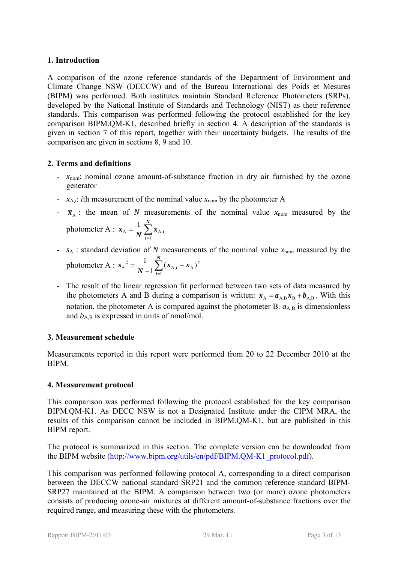## <span id="page-2-1"></span>**1. Introduction**

<span id="page-2-0"></span>A comparison of the ozone reference standards of the [Department of Environment and](#page-1-1)  [Climate Change NSW](#page-1-1) (DECCW) and of the Bureau International des Poids et Mesures (BIPM) was performed. Both institutes maintain Standard Reference Photometers (SRPs), developed by the National Institute of Standards and Technology (NIST) as their reference standards. This comparison was performed following the protocol established for the key comparison BIPM.QM-K1, described briefly in section [4](#page-2-4). A description of the standards is given in section [7](#page-4-2) of this report, together with their uncertainty budgets. The results of the comparison are given in sections [8](#page-8-0), [9](#page-8-1) and [10.](#page-9-0)

#### <span id="page-2-2"></span>**2. Terms and definitions**

- *x*<sub>nom</sub>: nominal ozone amount-of-substance fraction in dry air furnished by the ozone generator
- $x_{A,i}$ : *i*th measurement of the nominal value  $x_{nom}$  by the photometer A
- $\bar{x}_A$ : the mean of *N* measurements of the nominal value  $x_{\text{nom}}$  measured by the photometer A :  $\bar{x}_A = \frac{1}{N} \sum_{i=1}^{N}$ *N*  $\overline{x}_{A} = \frac{1}{N} \sum_{i=1}^{N} x_{A,i}$ 1  $A = \frac{1}{\mathbf{M}} \sum \mathbf{A} A$ 1
- $s_A$ : standard deviation of *N* measurements of the nominal value  $x_{nom}$  measured by the photometer A :  $s_A^2 = \frac{1}{N-1} \sum_{i=1}^N (x_{A,i} -$ *N i*  $\frac{1}{N-1} \sum_{i=1}^{N} (x_{A,i} - \bar{x})$ *s* 1  $_{\text{A},i}$  –  $\overline{x}_{\text{A}}$ )<sup>2</sup>  $A^{2} = \frac{1}{N-1} \sum_{i=1}^{N} (x_{A,i} - \overline{x}_{A})$
- The result of the linear regression fit performed between two sets of data measured by the photometers A and B during a comparison is written:  $x_A = a_{A,B} x_B + b_{A,B}$ . With this notation, the photometer A is compared against the photometer B.  $a_{A,B}$  is dimensionless and  $b_{A,B}$  is expressed in units of nmol/mol.

## <span id="page-2-3"></span>**3. Measurement schedule**

Measurements reported in this report were performed from 20 to 22 December 2010 at the BIPM.

## <span id="page-2-4"></span>**4. Measurement protocol**

This comparison was performed following the protocol established for the key comparison BIPM.QM-K1. As DECC NSW is not a Designated Institute under the CIPM MRA, the results of this comparison cannot be included in BIPM.QM-K1, but are published in this BIPM report.

The protocol is summarized in this section. The complete version can be downloaded from the BIPM website ([http://www.bipm.org/utils/en/pdf/BIPM.QM-K1\\_protocol.pdf\)](http://www.bipm.org/utils/en/pdf/BIPM.QM-K1_protocol.pdf).

<span id="page-2-5"></span>This comparison was performed following protocol A, corresponding to a direct comparison between the [DECCW](#page-2-0) national standard SRP21 and the common reference standard BIPM-SRP27 maintained at the BIPM. A comparison between two (or more) ozone photometers consists of producing ozone-air mixtures at different amount-of-substance fractions over the required range, and measuring these with the photometers.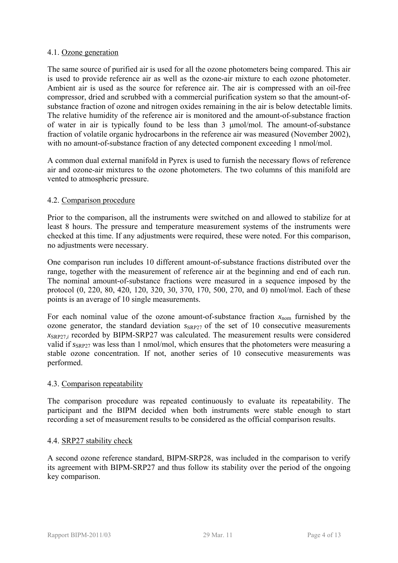#### 4.1. Ozone generation

The same source of purified air is used for all the ozone photometers being compared. This air is used to provide reference air as well as the ozone-air mixture to each ozone photometer. Ambient air is used as the source for reference air. The air is compressed with an oil-free compressor, dried and scrubbed with a commercial purification system so that the amount-ofsubstance fraction of ozone and nitrogen oxides remaining in the air is below detectable limits. The relative humidity of the reference air is monitored and the amount-of-substance fraction of water in air is typically found to be less than 3 μmol/mol. The amount-of-substance fraction of volatile organic hydrocarbons in the reference air was measured (November 2002), with no amount-of-substance fraction of any detected component exceeding 1 nmol/mol.

A common dual external manifold in Pyrex is used to furnish the necessary flows of reference air and ozone-air mixtures to the ozone photometers. The two columns of this manifold are vented to atmospheric pressure.

#### 4.2. Comparison procedure

Prior to the comparison, all the instruments were switched on and allowed to stabilize for at least 8 hours. The pressure and temperature measurement systems of the instruments were checked at this time. If any adjustments were required, these were noted. For this comparison, no adjustments were necessary.

One comparison run includes 10 different amount-of-substance fractions distributed over the range, together with the measurement of reference air at the beginning and end of each run. The nominal amount-of-substance fractions were measured in a sequence imposed by the protocol (0, 220, 80, 420, 120, 320, 30, 370, 170, 500, 270, and 0) nmol/mol. Each of these points is an average of 10 single measurements.

For each nominal value of the ozone amount-of-substance fraction  $x_{\text{nom}}$  furnished by the ozone generator, the standard deviation  $S_{SRP27}$  of the set of 10 consecutive measurements  $x_{SRP27i}$  recorded by BIPM-SRP27 was calculated. The measurement results were considered valid if  $s_{SRP27}$  was less than 1 nmol/mol, which ensures that the photometers were measuring a stable ozone concentration. If not, another series of 10 consecutive measurements was performed.

#### 4.3. Comparison repeatability

The comparison procedure was repeated continuously to evaluate its repeatability. The participant and the BIPM decided when both instruments were stable enough to start recording a set of measurement results to be considered as the official comparison results.

#### 4.4. SRP27 stability check

A second ozone reference standard, BIPM-SRP28, was included in the comparison to verify its agreement with BIPM-SRP27 and thus follow its stability over the period of the ongoing key comparison.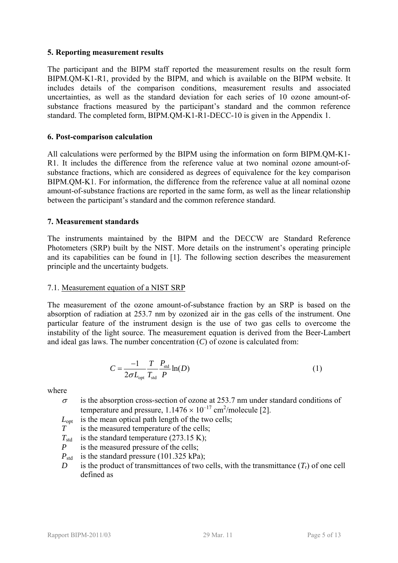#### <span id="page-4-0"></span>**5. Reporting measurement results**

<span id="page-4-3"></span>The participant and the BIPM staff reported the measurement results on the result form BIPM.QM-K1-R1, provided by the BIPM, and which is available on the BIPM website. It includes details of the comparison conditions, measurement results and associated uncertainties, as well as the standard deviation for each series of 10 ozone amount-ofsubstance fractions measured by the participant's standard and the common reference standard. The completed form, BIPM.QM-K1-R1-DECC-10 is given in the Appendix 1.

#### <span id="page-4-4"></span><span id="page-4-1"></span>**6. Post-comparison calculation**

All calculations were performed by the BIPM using the information on form [BIPM.QM-K1-](#page-4-3) [R1.](#page-4-3) It includes the difference from the reference value at two nominal ozone amount-ofsubstance fractions, which are considered as degrees of equivalence for the key comparison BIPM.QM-K1. For information, the difference from the reference value at all nominal ozone amount-of-substance fractions are reported in the same form, as well as the linear relationship between the participant's standard and the common reference standard.

#### <span id="page-4-2"></span>**7. Measurement standards**

The instruments maintained by the BIPM and the [DECCW](#page-2-0) are Standard Reference Photometers (SRP) built by the NIST. More details on the instrument's operating principle and its capabilities can be found in [1]. The following section describes the measurement principle and the uncertainty budgets.

#### 7.1. Measurement equation of a NIST SRP

The measurement of the ozone amount-of-substance fraction by an SRP is based on the absorption of radiation at 253.7 nm by ozonized air in the gas cells of the instrument. One particular feature of the instrument design is the use of two gas cells to overcome the instability of the light source. The measurement equation is derived from the Beer-Lambert and ideal gas laws. The number concentration (*C*) of ozone is calculated from:

$$
C = \frac{-1}{2\sigma L_{opt}} \frac{T}{T_{std}} \frac{P_{std}}{P} \ln(D)
$$
 (1)

where

- $\sigma$  is the absorption cross-section of ozone at 253.7 nm under standard conditions of temperature and pressure,  $1.1476 \times 10^{-17}$  cm<sup>2</sup>/molecule [2].
- *L*<sub>opt</sub> is the mean optical path length of the two cells;
- *T* is the measured temperature of the cells;
- $T_{std}$  is the standard temperature (273.15 K);
- *P* is the measured pressure of the cells;
- $P_{\text{std}}$  is the standard pressure (101.325 kPa);
- *D* is the product of transmittances of two cells, with the transmittance  $(T_r)$  of one cell defined as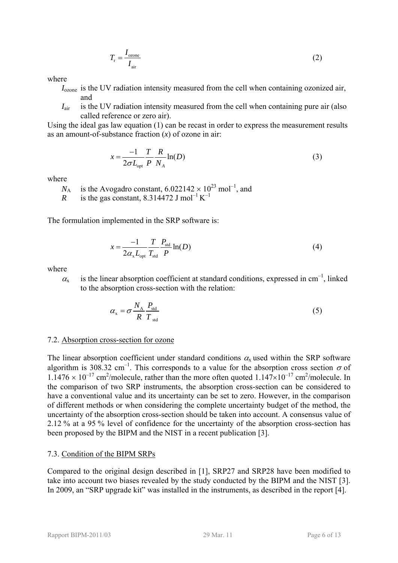$$
T_{\rm r} = \frac{I_{\rm ozone}}{I_{\rm air}}\tag{2}
$$

where

- *I*<sub>ozone</sub> is the UV radiation intensity measured from the cell when containing ozonized air, and
- *I*<sub>air</sub> is the UV radiation intensity measured from the cell when containing pure air (also called reference or zero air).

Using the ideal gas law equation (1) can be recast in order to express the measurement results as an amount-of-substance fraction (*x*) of ozone in air:

$$
x = \frac{-1}{2\sigma L_{opt}} \frac{T}{P} \frac{R}{N_A} \ln(D) \tag{3}
$$

where

 $N_A$  is the Avogadro constant,  $6.022142 \times 10^{23}$  mol<sup>-1</sup>, and

*R* is the gas constant, 8.314472 J mol<sup>-1</sup> K<sup>-1</sup>

The formulation implemented in the SRP software is:

$$
x = \frac{-1}{2\alpha_x L_{opt}} \frac{T}{T_{std}} \frac{P_{std}}{P} \ln(D) \tag{4}
$$

where

 $\alpha_x$  is the linear absorption coefficient at standard conditions, expressed in cm<sup>-1</sup>, linked to the absorption cross-section with the relation:

$$
\alpha_{\rm x} = \sigma \frac{N_{\rm A}}{R} \frac{P_{\rm std}}{T_{\rm std}} \tag{5}
$$

#### 7.2. Absorption cross-section for ozone

The linear absorption coefficient under standard conditions  $\alpha_x$  used within the SRP software algorithm is 308.32 cm<sup>-1</sup>. This corresponds to a value for the absorption cross section  $\sigma$  of  $1.1476 \times 10^{-17}$  cm<sup>2</sup>/molecule, rather than the more often quoted  $1.147 \times 10^{-17}$  cm<sup>2</sup>/molecule. In the comparison of two SRP instruments, the absorption cross-section can be considered to have a conventional value and its uncertainty can be set to zero. However, in the comparison of different methods or when considering the complete uncertainty budget of the method, the uncertainty of the absorption cross-section should be taken into account. A consensus value of 2.12 % at a 95 % level of confidence for the uncertainty of the absorption cross-section has been proposed by the BIPM and the NIST in a recent publication [3].

#### 7.3. Condition of the BIPM SRPs

Compared to the original design described in [1], SRP27 and SRP28 have been modified to take into account two biases revealed by the study conducted by the BIPM and the NIST [3]. In 2009, an "SRP upgrade kit" was installed in the instruments, as described in the report [4].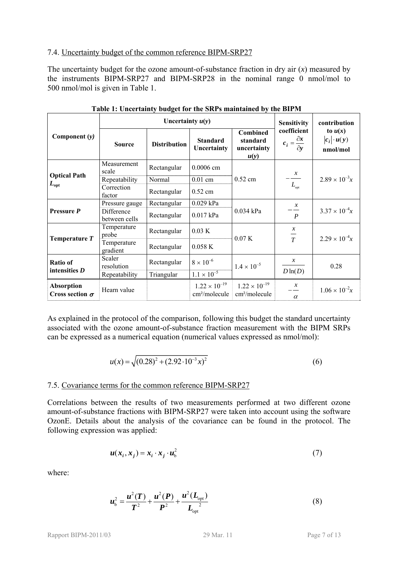#### 7.4. Uncertainty budget of the common reference BIPM-SRP27

The uncertainty budget for the ozone amount-of-substance fraction in dry air  $(x)$  measured by the instruments BIPM-SRP27 and BIPM-SRP28 in the nominal range 0 nmol/mol to 500 nmol/mol is given in [Table 1.](#page-6-0)

<span id="page-6-0"></span>

|                                             |                             | Uncertainty $u(y)$  |                                                     |                                                     | <b>Sensitivity</b>                                   | contribution                                |
|---------------------------------------------|-----------------------------|---------------------|-----------------------------------------------------|-----------------------------------------------------|------------------------------------------------------|---------------------------------------------|
| Component $(y)$                             | <b>Source</b>               | <b>Distribution</b> | <b>Standard</b><br>Uncertainty                      | <b>Combined</b><br>standard<br>uncertainty<br>u(y)  | coefficient<br>$c_i = \frac{\partial x}{\partial y}$ | to $u(x)$<br>$ c_i  \cdot u(y)$<br>nmol/mol |
|                                             | Measurement<br>scale        | Rectangular         | $0.0006$ cm                                         |                                                     |                                                      |                                             |
| <b>Optical Path</b><br>$L_{\rm opt}$        | Repeatability               | Normal              | $0.01$ cm                                           | $0.52$ cm                                           | $\frac{x}{L_{\text{opt}}}$                           | $2.89 \times 10^{-3}x$                      |
|                                             | Correction<br>factor        | Rectangular         | $0.52$ cm                                           |                                                     |                                                      |                                             |
|                                             | Pressure gauge              | Rectangular         | 0.029 kPa                                           |                                                     | $\mathcal{X}$<br>$\boldsymbol{P}$                    |                                             |
| Pressure P                                  | Difference<br>between cells | Rectangular         | $0.017$ kPa                                         | $0.034$ kPa                                         |                                                      | $3.37 \times 10^{-4}x$                      |
|                                             | Temperature<br>probe        | Rectangular         | 0.03 K                                              | 0.07K                                               | $\mathcal{X}$<br>$\frac{1}{T}$                       | $2.29 \times 10^{-4}x$                      |
| Temperature T                               | Temperature<br>gradient     | Rectangular         | 0.058K                                              |                                                     |                                                      |                                             |
| <b>Ratio of</b>                             | Scaler<br>resolution        | Rectangular         | $8 \times 10^{-6}$                                  | $1.4 \times 10^{-5}$                                | $\mathcal{X}$                                        | 0.28                                        |
| intensities $D$                             | Repeatability               | Triangular          | $1.1 \times 10^{-5}$                                |                                                     | $D\ln(D)$                                            |                                             |
| <b>Absorption</b><br>Cross section $\sigma$ | Hearn value                 |                     | $1.22 \times 10^{-19}$<br>cm <sup>2</sup> /molecule | $1.22 \times 10^{-19}$<br>cm <sup>2</sup> /molecule | $\mathcal{X}$<br>$\alpha$                            | $1.06 \times 10^{-2}x$                      |

**Table 1: Uncertainty budget for the SRPs maintained by the BIPM** 

As explained in the protocol of the comparison, following this budget the standard uncertainty associated with the ozone amount-of-substance fraction measurement with the BIPM SRPs can be expressed as a numerical equation (numerical values expressed as nmol/mol):

$$
u(x) = \sqrt{(0.28)^2 + (2.92 \cdot 10^{-3} x)^2}
$$
 (6)

#### 7.5. Covariance terms for the common reference BIPM-SRP27

Correlations between the results of two measurements performed at two different ozone amount-of-substance fractions with BIPM-SRP27 were taken into account using the software OzonE. Details about the analysis of the covariance can be found in the protocol. The following expression was applied:

$$
u(x_i, x_j) = x_i \cdot x_j \cdot u_b^2 \tag{7}
$$

where:

$$
u_{\rm b}^2 = \frac{u^2(T)}{T^2} + \frac{u^2(P)}{P^2} + \frac{u^2(L_{\rm opt})}{L_{\rm opt}^2}
$$
 (8)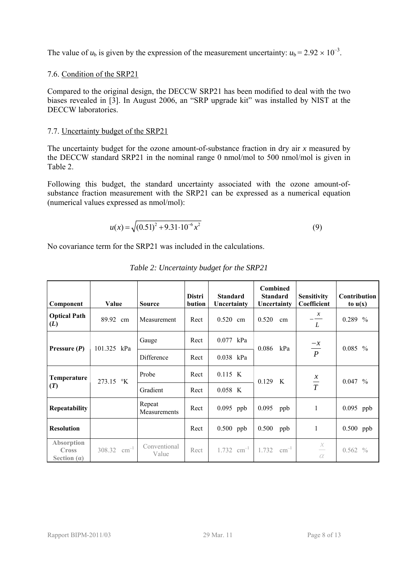The value of  $u<sub>b</sub>$  is given by the expression of the measurement uncertainty:  $u<sub>b</sub> = 2.92 \times 10^{-3}$ .

### 7.6. Condition of the SRP21

biases revealed in [3]. In August 2006, an "SRP upgrade kit" was installed by NIST at the Compared to the original design, the DECCW SRP21 has been modified to deal with the two DECCW laboratories

### 7.7. Uncertainty budget of the [SRP21](#page-2-0)

[The uncertainty budget](#page-2-0) for the ozone amount-of-substance fraction in dry air *x* measured by the DECCW standard SRP21 in the nominal range 0 nmol/mol to 500 nmol/mol is given in [Table 2](#page-2-5).

(numerical values expressed as nmol/mol): Following this budget, the standard uncertainty associated with the ozone amount-ofsubstance fraction measurement with the [SRP21](#page-2-0) can be expressed as a numerical equation

$$
u(x) = \sqrt{(0.51)^2 + 9.31 \cdot 10^{-6} x^2}
$$
 (9)

No covariance term for the SRP21 was included in the calculations.

| Component                                          | Value                      | <b>Source</b>          | <b>Distri</b><br>bution | <b>Standard</b><br>Uncertainty | <b>Combined</b><br><b>Standard</b><br>Uncertainty | <b>Sensitivity</b><br>Coefficient | Contribution<br>to $u(x)$ |
|----------------------------------------------------|----------------------------|------------------------|-------------------------|--------------------------------|---------------------------------------------------|-----------------------------------|---------------------------|
| <b>Optical Path</b><br>(L)                         | 89.92 cm                   | Measurement            | Rect                    | $0.520$ cm                     | 0.520<br>cm                                       | $\frac{x}{1}$<br>L                | $0.289\%$                 |
| Pressure $(P)$                                     | 101.325 kPa                | Gauge                  | Rect                    | 0.077<br>kPa                   | 0.086<br>kPa                                      |                                   | $0.085\%$                 |
|                                                    |                            | Difference             | Rect                    | 0.038 kPa                      |                                                   | $\frac{-x}{P}$                    |                           |
| Temperature                                        | 273.15 °K                  | Probe                  | Rect                    | $0.115$ K                      | 0.129 K                                           | $\frac{x}{T}$                     | $0.047~\%$                |
| (T)                                                |                            | Gradient               | Rect                    | $0.058$ K                      |                                                   |                                   |                           |
| Repeatability                                      |                            | Repeat<br>Measurements | Rect                    | $0.095$ ppb                    | 0.095<br>ppb                                      | 1                                 | $0.095$ ppb               |
| <b>Resolution</b>                                  |                            |                        | Rect                    | $0.500$ ppb                    | 0.500<br>ppb                                      | 1                                 | $0.500$ ppb               |
| <b>Absorption</b><br><b>Cross</b><br>Section $(a)$ | $\text{cm}^{-1}$<br>308.32 | Conventional<br>Value  | Rect                    | $1.732$ cm <sup>-1</sup> 1.732 | $\text{cm}^{-1}$                                  | $\frac{x}{1}$<br>$\alpha$         | $0.562\%$                 |

|  | Table 2: Uncertainty budget for the SRP21 |
|--|-------------------------------------------|
|--|-------------------------------------------|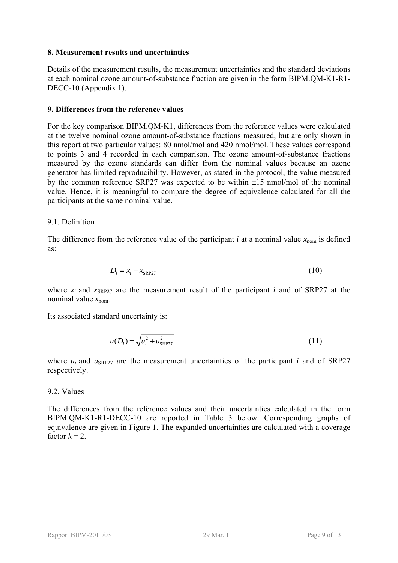#### <span id="page-8-0"></span>**8. Measurement results and uncertainties**

Details of the measurement results, the measurement uncertainties and the standard deviations at each nominal ozone amount-of-substance fraction are given in the form [BIPM.QM-K1-R1-](#page-4-4) [DECC-10](#page-4-4) (Appendix 1).

#### <span id="page-8-1"></span>**9. Differences from the reference values**

For the key comparison BIPM.QM-K1, differences from the reference values were calculated at the twelve nominal ozone amount-of-substance fractions measured, but are only shown in this report at two particular values: 80 nmol/mol and 420 nmol/mol. These values correspond to points 3 and 4 recorded in each comparison. The ozone amount-of-substance fractions measured by the ozone standards can differ from the nominal values because an ozone generator has limited reproducibility. However, as stated in the protocol, the value measured by the common reference SRP27 was expected to be within  $\pm 15$  nmol/mol of the nominal value. Hence, it is meaningful to compare the degree of equivalence calculated for all the participants at the same nominal value.

#### 9.1. Definition

The difference from the reference value of the participant *i* at a nominal value  $x_{\text{nom}}$  is defined as:

$$
D_i = x_i - x_{\text{SRP27}} \tag{10}
$$

where  $x_i$  and  $x_{SPP27}$  are the measurement result of the participant *i* and of SRP27 at the nominal value  $x_{\text{nom}}$ .

Its associated standard uncertainty is:

$$
u(D_i) = \sqrt{u_i^2 + u_{SRP27}^2}
$$
 (11)

where  $u_i$  and  $u_{SRP27}$  are the measurement uncertainties of the participant *i* and of SRP27 respectively.

## 9.2. Values

The differences from the reference values and their uncertainties calculated in the form [BIPM.QM-K1-R1-DECC-10](#page-4-4) are reported in [Table 3](#page-9-1) below. Corresponding graphs of equivalence are given in [Figure 1.](#page-9-2) The expanded uncertainties are calculated with a coverage factor  $k = 2$ .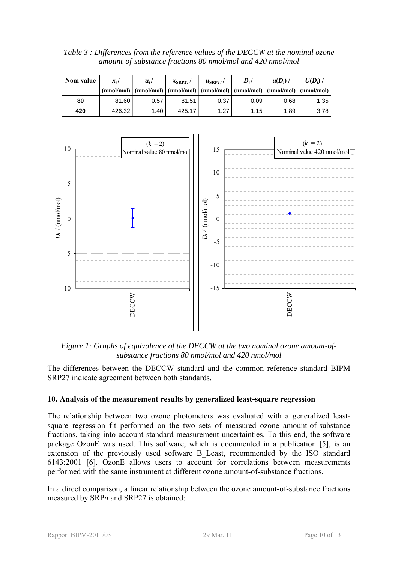<span id="page-9-1"></span>*Table 3 : Differences from the reference values of the [DECCW](#page-2-0) at the nominal ozone amount-of-substance fractions 80 nmol/mol and 420 nmol/mol* 

| Nom value | $x_i/$ | $u_i$ | $x_{\text{SRP27}}$ / | $\mu_{\rm SRP27}$ / | $D_i/$                                                                                                                                                                               | $u(D_i)$ | $U(D_i)$ |
|-----------|--------|-------|----------------------|---------------------|--------------------------------------------------------------------------------------------------------------------------------------------------------------------------------------|----------|----------|
|           |        |       |                      |                     | $(\text{nmol/mol}) \mid (\text{nmol/mol}) \mid (\text{nmol/mol}) \mid (\text{nmol/mol}) \mid (\text{nmol/mol}) \mid (\text{nmol/mol}) \mid (\text{nmol/mol}) \mid (\text{nmol/mol})$ |          |          |
| 80        | 81.60  | 0.57  | 81.51                | 0.37                | 0.09                                                                                                                                                                                 | 0.68     | 1.35     |
| 420       | 426.32 | 1.40  | 425.17               | 1.27                | 1.15                                                                                                                                                                                 | 1.89     | 3.78     |



*Figure 1: Graphs of equivalence of the [DECCW](#page-2-0) at the two nominal ozone amount-ofsubstance fractions 80 nmol/mol and 420 nmol/mol* 

<span id="page-9-2"></span>The differences between the [DECCW](#page-2-0) standard and the common reference standard BIPM SRP27 indicate agreement between both standards.

## <span id="page-9-0"></span>**10. Analysis of the measurement results by generalized least-square regression**

The relationship between two ozone photometers was evaluated with a generalized leastsquare regression fit performed on the two sets of measured ozone amount-of-substance fractions, taking into account standard measurement uncertainties. To this end, the software package OzonE was used. This software, which is documented in a publication [5], is an extension of the previously used software B\_Least, recommended by the ISO standard 6143:2001 [6]. OzonE allows users to account for correlations between measurements performed with the same instrument at different ozone amount-of-substance fractions.

In a direct comparison, a linear relationship between the ozone amount-of-substance fractions measured by SRP*n* and SRP27 is obtained: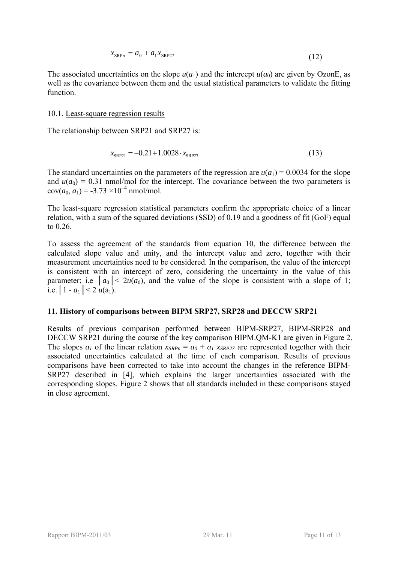$$
x_{\text{SRP}_n} = a_0 + a_1 x_{\text{SRP27}} \tag{12}
$$

The associated uncertainties on the slope  $u(a_1)$  and the intercept  $u(a_0)$  are given by OzonE, as well as the covariance between them and the usual statistical parameters to validate the fitting function.

#### 10.1. Least-square regression results

The relationship between [SRP21](#page-2-5) and SRP27 is:

$$
x_{SRP21} = -0.21 + 1.0028 \cdot x_{SRP27} \tag{13}
$$

The standard uncertainties on the parameters of the regression are  $u(a_1) = 0.0034$  for the slope and  $u(a_0) = 0.31$  nmol/mol for the intercept. The covariance between the two parameters is  $cov(a_0, a_1) = -3.73 \times 10^{-4}$  nmol/mol.

The least-square regression statistical parameters confirm the appropriate choice of a linear relation, with a sum of the squared deviations (SSD) of 0.19 and a goodness of fit (GoF) equal to 0.26.

To assess the agreement of the standards from equation 10, the difference between the calculated slope value and unity, and the intercept value and zero, together with their measurement uncertainties need to be considered. In the comparison, the value of the intercept is consistent with an intercept of zero, considering the uncertainty in the value of this parameter; i.e  $|a_0| < 2u(a_0)$ , and the value of the slope is consistent with a slope of 1; i.e.  $|1 - a_1| < 2 u(a_1)$ .

#### <span id="page-10-0"></span>**11. History of comparisons between BIPM SRP27, SRP28 and [DECCW](#page-2-0) [SRP21](#page-2-5)**

Results of previous comparison performed between BIPM-SRP27, BIPM-SRP28 and [DECCW](#page-2-0) [SRP21](#page-2-5) during the course of the key comparison BIPM.QM-K1 are given in [Figure 2](#page-11-2). The slopes  $a_1$  of the linear relation  $x_{SRPn} = a_0 + a_1 x_{SRP27}$  are represented together with their associated uncertainties calculated at the time of each comparison. Results of previous comparisons have been corrected to take into account the changes in the reference BIPM-SRP27 described in [4], which explains the larger uncertainties associated with the corresponding slopes. [Figure 2](#page-11-2) shows that all standards included in these comparisons stayed in close agreement.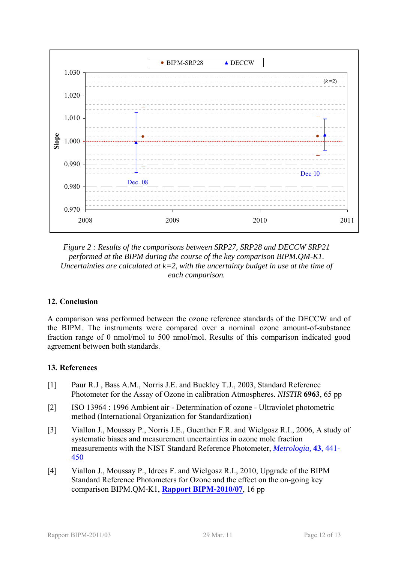

<span id="page-11-2"></span>*Figure 2 : Results of the comparisons between SRP27, SRP28 and [DECCW](#page-2-0) [SRP21](#page-2-5) performed at the BIPM during the course of the key comparison BIPM.QM-K1. Uncertainties are calculated at k=2, with the uncertainty budget in use at the time of each comparison.* 

## <span id="page-11-0"></span>**12. Conclusion**

A comparison was performed between the ozone reference standards of the [DECCW](#page-2-0) and of the BIPM. The instruments were compared over a nominal ozone amount-of-substance fraction range of 0 nmol/mol to 500 nmol/mol. Results of this comparison indicated good agreement between both standards.

#### <span id="page-11-1"></span>**13. References**

- [1] Paur R.J , Bass A.M., Norris J.E. and Buckley T.J., 2003, Standard Reference Photometer for the Assay of Ozone in calibration Atmospheres. *NISTIR* **6963**, 65 pp
- [2] ISO 13964 : 1996 Ambient air Determination of ozone Ultraviolet photometric method (International Organization for Standardization)
- [3] Viallon J., Moussay P., Norris J.E., Guenther F.R. and Wielgosz R.I., 2006, A study of systematic biases and measurement uncertainties in ozone mole fraction measurements with the NIST Standard Reference Photometer, *[Metrologia,](http://stacks.iop.org/0026-1394/43/441)* **43**, 441- [450](http://stacks.iop.org/0026-1394/43/441)
- [4] Viallon J., Moussay P., Idrees F. and Wielgosz R.I., 2010, Upgrade of the BIPM Standard Reference Photometers for Ozone and the effect on the on-going key comparison BIPM.QM-K1, **[Rapport BIPM-2010/07](http://www.bipm.org/utils/common/pdf/rapportBIPM/2010/07.pdf)**, 16 pp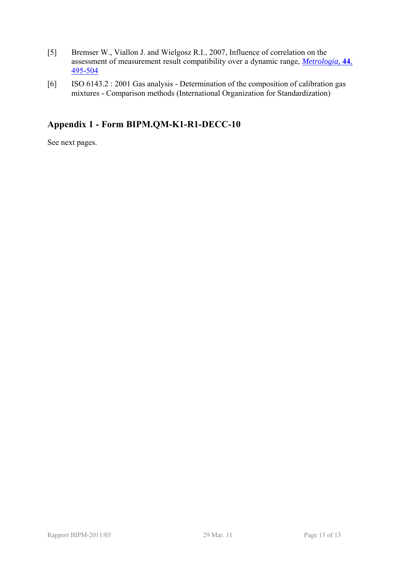- [5] Bremser W., Viallon J. and Wielgosz R.I., 2007, Influence of correlation on the assessment of measurement result compatibility over a dynamic range, *[Metrologia,](http://stacks.iop.org/0026-1394/44/495)* **44**, [495-504](http://stacks.iop.org/0026-1394/44/495)
- [6] ISO 6143.2 : 2001 Gas analysis Determination of the composition of calibration gas mixtures - Comparison methods (International Organization for Standardization)

## <span id="page-12-0"></span>**Appendix 1 - Form [BIPM.QM-K1-R1-DECC-10](#page-4-4)**

See next pages.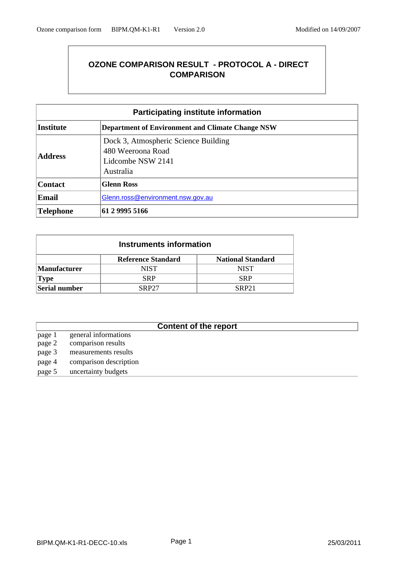## **OZONE COMPARISON RESULT - PROTOCOL A - DIRECT COMPARISON**

| <b>Participating institute information</b>                                  |                                                                                             |  |  |  |  |
|-----------------------------------------------------------------------------|---------------------------------------------------------------------------------------------|--|--|--|--|
| <b>Institute</b><br><b>Department of Environment and Climate Change NSW</b> |                                                                                             |  |  |  |  |
| <b>Address</b>                                                              | Dock 3, Atmospheric Science Building<br>480 Weeroona Road<br>Lidcombe NSW 2141<br>Australia |  |  |  |  |
| <b>Contact</b>                                                              | <b>Glenn Ross</b>                                                                           |  |  |  |  |
| <b>Email</b>                                                                | Glenn.ross@environment.nsw.gov.au                                                           |  |  |  |  |
| Telephone                                                                   | 61 2 9995 5166                                                                              |  |  |  |  |

| Instruments information |                                                       |             |  |  |  |  |  |  |
|-------------------------|-------------------------------------------------------|-------------|--|--|--|--|--|--|
|                         | <b>Reference Standard</b><br><b>National Standard</b> |             |  |  |  |  |  |  |
| <b>Manufacturer</b>     | NIST                                                  | <b>NIST</b> |  |  |  |  |  |  |
| <b>Type</b>             | SRP                                                   | <b>SRP</b>  |  |  |  |  |  |  |
| Serial number           | <b>SRP27</b><br><b>SRP21</b>                          |             |  |  |  |  |  |  |

## **Content of the report**

- page 1 general informations page 2 comparison results page 3 measurements results
- page 4 comparison description
- page 5 uncertainty budgets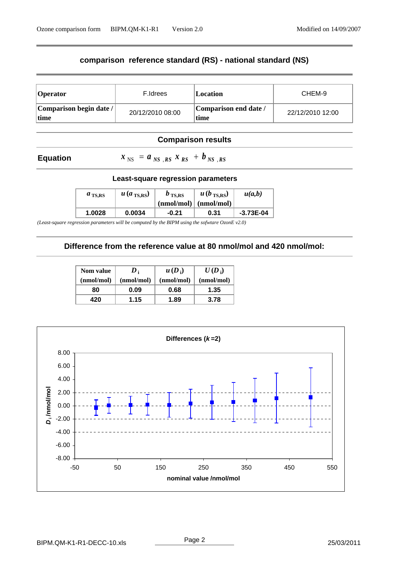## **comparison reference standard (RS) - national standard (NS)**

| <b>Operator</b>                  | F.Idrees         | Location                      | CHEM-9           |
|----------------------------------|------------------|-------------------------------|------------------|
| Comparison begin date /<br> time | 20/12/2010 08:00 | Comparison end date /<br>time | 22/12/2010 12:00 |

#### **Comparison results**

#### **Equation**

 $x_{NS} = a_{NS}$ ,  $R_{RS} x_{RS} + b_{NS}$ ,  $R_{RS} x_{RS}$ 

#### **Least-square regression parameters**

| $a_{\text{TS,RS}}$ | $u$ (a <sub>TS,RS</sub> ) | $b_{\text{TS,RS}}$ | $u(b_{\text{TS,RS}})$<br>$(nmol/mol)$ $(nmol/mol)$ | u(a,b)      |
|--------------------|---------------------------|--------------------|----------------------------------------------------|-------------|
| 1.0028             | 0.0034                    | $-0.21$            | 0.31                                               | $-3.73E-04$ |

*(Least-square regression parameters will be computed by the BIPM using the sofwtare OzonE v2.0)*

### **Difference from the reference value at 80 nmol/mol and 420 nmol/mol:**

| <b>Nom value</b> | $\boldsymbol{D}_i$ | $u(D_i)$   | $U(D_i)$   |
|------------------|--------------------|------------|------------|
| (nmol/mol)       | (nmol/mol)         | (nmol/mol) | (nmol/mol) |
| 80               | 0.09               | 0.68       | 1.35       |
| 420              | 1.15               | 1.89       | 3.78       |

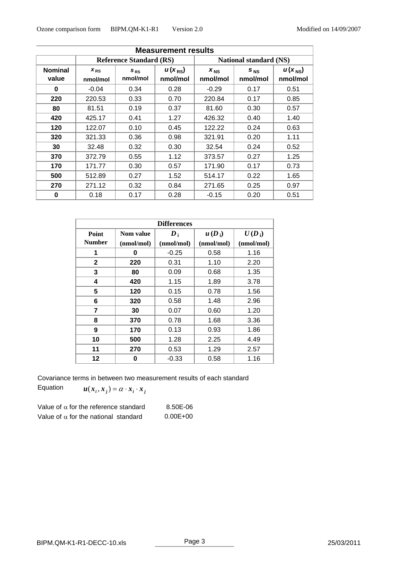| <b>Measurement results</b> |                                |                      |                         |                               |                      |                                |  |
|----------------------------|--------------------------------|----------------------|-------------------------|-------------------------------|----------------------|--------------------------------|--|
|                            | <b>Reference Standard (RS)</b> |                      |                         | <b>National standard (NS)</b> |                      |                                |  |
| <b>Nominal</b><br>value    | $X_{RS}$<br>nmol/mol           | $S_{RS}$<br>nmol/mol | $u(x_{RS})$<br>nmol/mol | $x_{NS}$<br>nmol/mol          | $S_{NS}$<br>nmol/mol | $u(x_{\text{NS}})$<br>nmol/mol |  |
| $\bf{0}$                   | $-0.04$                        | 0.34                 | 0.28                    | $-0.29$                       | 0.17                 | 0.51                           |  |
| 220                        | 220.53                         | 0.33                 | 0.70                    | 220.84                        | 0.17                 | 0.85                           |  |
| 80                         | 81.51                          | 0.19                 | 0.37                    | 81.60                         | 0.30                 | 0.57                           |  |
| 420                        | 425.17                         | 0.41                 | 1.27                    | 426.32                        | 0.40                 | 1.40                           |  |
| 120                        | 122.07                         | 0.10                 | 0.45                    | 122.22                        | 0.24                 | 0.63                           |  |
| 320                        | 321.33                         | 0.36                 | 0.98                    | 321.91                        | 0.20                 | 1.11                           |  |
| 30                         | 32.48                          | 0.32                 | 0.30                    | 32.54                         | 0.24                 | 0.52                           |  |
| 370                        | 372.79                         | 0.55                 | 1.12                    | 373.57                        | 0.27                 | 1.25                           |  |
| 170                        | 171.77                         | 0.30                 | 0.57                    | 171.90                        | 0.17                 | 0.73                           |  |
| 500                        | 512.89                         | 0.27                 | 1.52                    | 514.17                        | 0.22                 | 1.65                           |  |
| 270                        | 271.12                         | 0.32                 | 0.84                    | 271.65                        | 0.25                 | 0.97                           |  |
| 0                          | 0.18                           | 0.17                 | 0.28                    | $-0.15$                       | 0.20                 | 0.51                           |  |

| <b>Differences</b> |            |                    |            |            |  |  |  |
|--------------------|------------|--------------------|------------|------------|--|--|--|
| Point              | Nom value  | $\boldsymbol{D}_1$ | $u(D_i)$   | $U(D_i)$   |  |  |  |
| <b>Number</b>      | (nmol/mol) | (nmol/mol)         | (nmol/mol) | (nmol/mol) |  |  |  |
| 1                  | 0          | $-0.25$            | 0.58       | 1.16       |  |  |  |
| $\mathbf{2}$       | 220        | 0.31               | 1.10       | 2.20       |  |  |  |
| 3                  | 80         | 0.09               | 0.68       | 1.35       |  |  |  |
| 4                  | 420        | 1.15               | 1.89       | 3.78       |  |  |  |
| 5                  | 120        | 0.15               | 0.78       | 1.56       |  |  |  |
| 6                  | 320        | 0.58               | 1.48       | 2.96       |  |  |  |
| 7                  | 30         | 0.07               | 0.60       | 1.20       |  |  |  |
| 8                  | 370        | 0.78               | 1.68       | 3.36       |  |  |  |
| 9                  | 170        | 0.13               | 0.93       | 1.86       |  |  |  |
| 10                 | 500        | 1.28               | 2.25       | 4.49       |  |  |  |
| 11                 | 270        | 0.53               | 1.29       | 2.57       |  |  |  |
| 12                 | 0          | $-0.33$            | 0.58       | 1.16       |  |  |  |

Covariance terms in between two measurement results of each standard

Equation  $u(x_i, x_j) = \alpha \cdot x_i \cdot x_j$ 

| Value of $\alpha$ for the reference standard | 8.50E-06     |
|----------------------------------------------|--------------|
| Value of $\alpha$ for the national standard  | $0.00E + 00$ |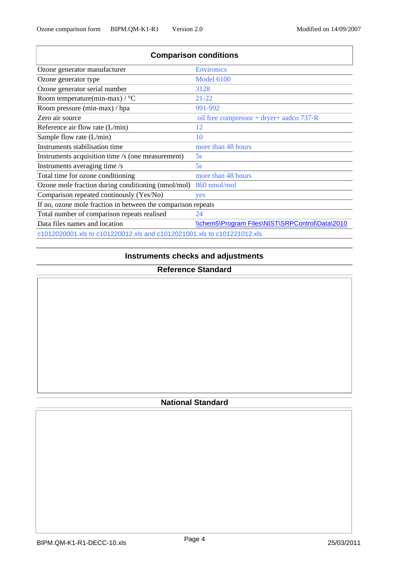| <b>Comparison conditions</b>                                            |                                                 |  |  |  |  |  |
|-------------------------------------------------------------------------|-------------------------------------------------|--|--|--|--|--|
| Ozone generator manufacturer                                            | <b>Environics</b>                               |  |  |  |  |  |
| Ozone generator type                                                    | <b>Model 6100</b>                               |  |  |  |  |  |
| Ozone generator serial number                                           | 3128                                            |  |  |  |  |  |
| Room temperature(min-max) / $\rm{^{\circ}C}$                            | $21 - 22$                                       |  |  |  |  |  |
| Room pressure (min-max) / hpa                                           | 991-992                                         |  |  |  |  |  |
| Zero air source                                                         | oil free compressor + dryer+ aadco 737-R        |  |  |  |  |  |
| Reference air flow rate $(L/min)$                                       | 12                                              |  |  |  |  |  |
| Sample flow rate (L/min)                                                | 10                                              |  |  |  |  |  |
| Instruments stabilisation time                                          | more than 48 hours                              |  |  |  |  |  |
| Instruments acquisition time /s (one measurement)                       | 5s                                              |  |  |  |  |  |
| Instruments averaging time /s                                           | 5s                                              |  |  |  |  |  |
| Total time for ozone conditioning                                       | more than 48 hours                              |  |  |  |  |  |
| Ozone mole fraction during conditioning (nmol/mol)                      | 860 nmol/mol                                    |  |  |  |  |  |
| Comparison repeated continously (Yes/No)                                | yes                                             |  |  |  |  |  |
| If no, ozone mole fraction in between the comparison repeats            |                                                 |  |  |  |  |  |
| Total number of comparison repeats realised                             | 24                                              |  |  |  |  |  |
| Data files names and location                                           | \\chem5\Program Files\NIST\SRPControl\Data\2010 |  |  |  |  |  |
| c1012020001.xls to c101220012.xls and c1012021001.xls to c101221012.xls |                                                 |  |  |  |  |  |

## **Instruments checks and adjustments**

## **Reference Standard**

## **National Standard**